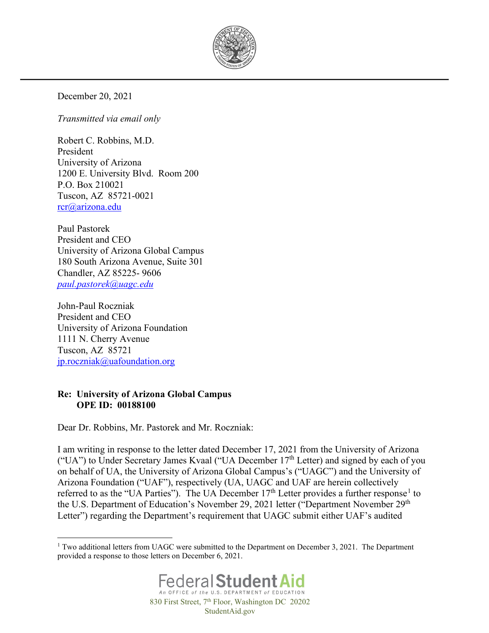

December 20, 2021

*Transmitted via email only*

Robert C. Robbins, M.D. President University of Arizona 1200 E. University Blvd. Room 200 P.O. Box 210021 Tuscon, AZ 85721-0021 [rcr@arizona.edu](mailto:rcr@arizona.edu)

Paul Pastorek President and CEO University of Arizona Global Campus 180 South Arizona Avenue, Suite 301 Chandler, AZ 85225- 9606 *[paul.pastorek@uagc.edu](mailto:paul.pastorek@uagc.edu)*

John-Paul Roczniak President and CEO University of Arizona Foundation 1111 N. Cherry Avenue Tuscon, AZ 85721 [jp.roczniak@uafoundation.org](mailto:jp.roczniak@uafoundation.org)

#### **Re: University of Arizona Global Campus OPE ID: 00188100**

Dear Dr. Robbins, Mr. Pastorek and Mr. Roczniak:

I am writing in response to the letter dated December 17, 2021 from the University of Arizona ("UA") to Under Secretary James Kvaal ("UA December  $17<sup>th</sup>$  Letter) and signed by each of you on behalf of UA, the University of Arizona Global Campus's ("UAGC") and the University of Arizona Foundation ("UAF"), respectively (UA, UAGC and UAF are herein collectively referred to as the "UA Parties"). The UA December [1](#page-0-0)7<sup>th</sup> Letter provides a further response<sup>1</sup> to the U.S. Department of Education's November 29, 2021 letter ("Department November 29<sup>th</sup> Letter") regarding the Department's requirement that UAGC submit either UAF's audited

<span id="page-0-0"></span><sup>&</sup>lt;sup>1</sup> Two additional letters from UAGC were submitted to the Department on December 3, 2021. The Department provided a response to those letters on December 6, 2021.

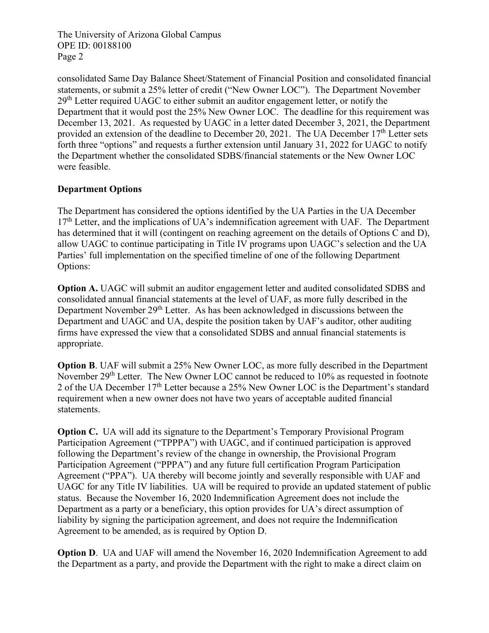consolidated Same Day Balance Sheet/Statement of Financial Position and consolidated financial statements, or submit a 25% letter of credit ("New Owner LOC"). The Department November  $29<sup>th</sup>$  Letter required UAGC to either submit an auditor engagement letter, or notify the Department that it would post the 25% New Owner LOC. The deadline for this requirement was December 13, 2021. As requested by UAGC in a letter dated December 3, 2021, the Department provided an extension of the deadline to December 20, 2021. The UA December 17<sup>th</sup> Letter sets forth three "options" and requests a further extension until January 31, 2022 for UAGC to notify the Department whether the consolidated SDBS/financial statements or the New Owner LOC were feasible.

#### **Department Options**

The Department has considered the options identified by the UA Parties in the UA December  $17<sup>th</sup>$  Letter, and the implications of UA's indemnification agreement with UAF. The Department has determined that it will (contingent on reaching agreement on the details of Options C and D), allow UAGC to continue participating in Title IV programs upon UAGC's selection and the UA Parties' full implementation on the specified timeline of one of the following Department Options:

**Option A.** UAGC will submit an auditor engagement letter and audited consolidated SDBS and consolidated annual financial statements at the level of UAF, as more fully described in the Department November 29<sup>th</sup> Letter. As has been acknowledged in discussions between the Department and UAGC and UA, despite the position taken by UAF's auditor, other auditing firms have expressed the view that a consolidated SDBS and annual financial statements is appropriate.

**Option B.** UAF will submit a 25% New Owner LOC, as more fully described in the Department November  $29<sup>th</sup>$  Letter. The New Owner LOC cannot be reduced to 10% as requested in footnote 2 of the UA December 17<sup>th</sup> Letter because a 25% New Owner LOC is the Department's standard requirement when a new owner does not have two years of acceptable audited financial statements.

**Option C.** UA will add its signature to the Department's Temporary Provisional Program Participation Agreement ("TPPPA") with UAGC, and if continued participation is approved following the Department's review of the change in ownership, the Provisional Program Participation Agreement ("PPPA") and any future full certification Program Participation Agreement ("PPA"). UA thereby will become jointly and severally responsible with UAF and UAGC for any Title IV liabilities. UA will be required to provide an updated statement of public status. Because the November 16, 2020 Indemnification Agreement does not include the Department as a party or a beneficiary, this option provides for UA's direct assumption of liability by signing the participation agreement, and does not require the Indemnification Agreement to be amended, as is required by Option D.

**Option D.** UA and UAF will amend the November 16, 2020 Indemnification Agreement to add the Department as a party, and provide the Department with the right to make a direct claim on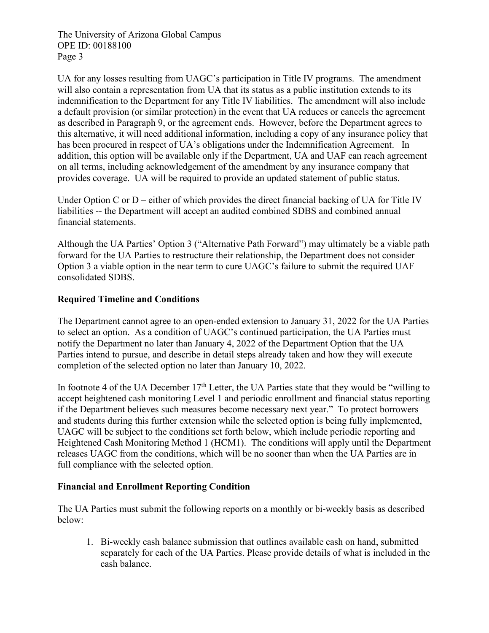UA for any losses resulting from UAGC's participation in Title IV programs. The amendment will also contain a representation from UA that its status as a public institution extends to its indemnification to the Department for any Title IV liabilities. The amendment will also include a default provision (or similar protection) in the event that UA reduces or cancels the agreement as described in Paragraph 9, or the agreement ends. However, before the Department agrees to this alternative, it will need additional information, including a copy of any insurance policy that has been procured in respect of UA's obligations under the Indemnification Agreement. In addition, this option will be available only if the Department, UA and UAF can reach agreement on all terms, including acknowledgement of the amendment by any insurance company that provides coverage. UA will be required to provide an updated statement of public status.

Under Option C or D – either of which provides the direct financial backing of UA for Title IV liabilities -- the Department will accept an audited combined SDBS and combined annual financial statements.

Although the UA Parties' Option 3 ("Alternative Path Forward") may ultimately be a viable path forward for the UA Parties to restructure their relationship, the Department does not consider Option 3 a viable option in the near term to cure UAGC's failure to submit the required UAF consolidated SDBS.

## **Required Timeline and Conditions**

The Department cannot agree to an open-ended extension to January 31, 2022 for the UA Parties to select an option. As a condition of UAGC's continued participation, the UA Parties must notify the Department no later than January 4, 2022 of the Department Option that the UA Parties intend to pursue, and describe in detail steps already taken and how they will execute completion of the selected option no later than January 10, 2022.

In footnote 4 of the UA December  $17<sup>th</sup>$  Letter, the UA Parties state that they would be "willing to accept heightened cash monitoring Level 1 and periodic enrollment and financial status reporting if the Department believes such measures become necessary next year." To protect borrowers and students during this further extension while the selected option is being fully implemented, UAGC will be subject to the conditions set forth below, which include periodic reporting and Heightened Cash Monitoring Method 1 (HCM1). The conditions will apply until the Department releases UAGC from the conditions, which will be no sooner than when the UA Parties are in full compliance with the selected option.

## **Financial and Enrollment Reporting Condition**

The UA Parties must submit the following reports on a monthly or bi-weekly basis as described below:

1. Bi-weekly cash balance submission that outlines available cash on hand, submitted separately for each of the UA Parties. Please provide details of what is included in the cash balance.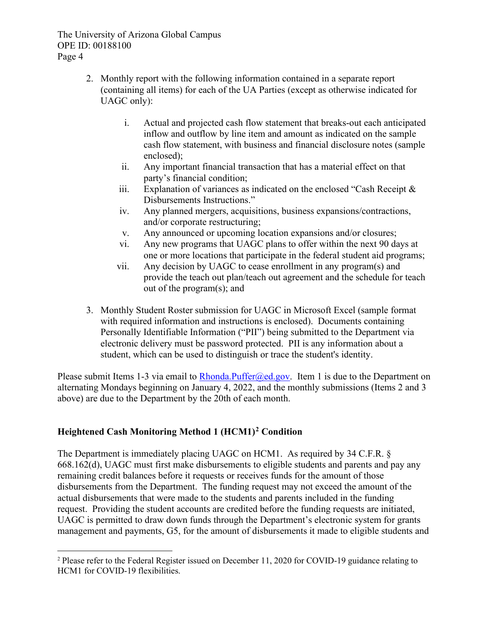- 2. Monthly report with the following information contained in a separate report (containing all items) for each of the UA Parties (except as otherwise indicated for UAGC only):
	- i. Actual and projected cash flow statement that breaks-out each anticipated inflow and outflow by line item and amount as indicated on the sample cash flow statement, with business and financial disclosure notes (sample enclosed);
	- ii. Any important financial transaction that has a material effect on that party's financial condition;
	- iii. Explanation of variances as indicated on the enclosed "Cash Receipt  $\&$ Disbursements Instructions."
	- iv. Any planned mergers, acquisitions, business expansions/contractions, and/or corporate restructuring;
	- v. Any announced or upcoming location expansions and/or closures;
	- vi. Any new programs that UAGC plans to offer within the next 90 days at one or more locations that participate in the federal student aid programs;
	- vii. Any decision by UAGC to cease enrollment in any program(s) and provide the teach out plan/teach out agreement and the schedule for teach out of the program(s); and
- 3. Monthly Student Roster submission for UAGC in Microsoft Excel (sample format with required information and instructions is enclosed). Documents containing Personally Identifiable Information ("PII") being submitted to the Department via electronic delivery must be password protected. PII is any information about a student, which can be used to distinguish or trace the student's identity.

Please submit Items 1-3 via email to [Rhonda.Puffer@ed.gov.](mailto:Rhonda.Puffer@ed.gov) Item 1 is due to the Department on alternating Mondays beginning on January 4, 2022, and the monthly submissions (Items 2 and 3 above) are due to the Department by the 20th of each month.

# **Heightened Cash Monitoring Method 1 (HCM1)[2](#page-3-0) Condition**

The Department is immediately placing UAGC on HCM1. As required by 34 C.F.R. § 668.162(d), UAGC must first make disbursements to eligible students and parents and pay any remaining credit balances before it requests or receives funds for the amount of those disbursements from the Department. The funding request may not exceed the amount of the actual disbursements that were made to the students and parents included in the funding request. Providing the student accounts are credited before the funding requests are initiated, UAGC is permitted to draw down funds through the Department's electronic system for grants management and payments, G5, for the amount of disbursements it made to eligible students and

<span id="page-3-0"></span><sup>2</sup> Please refer to the Federal Register issued on December 11, 2020 for COVID-19 guidance relating to HCM1 for COVID-19 flexibilities.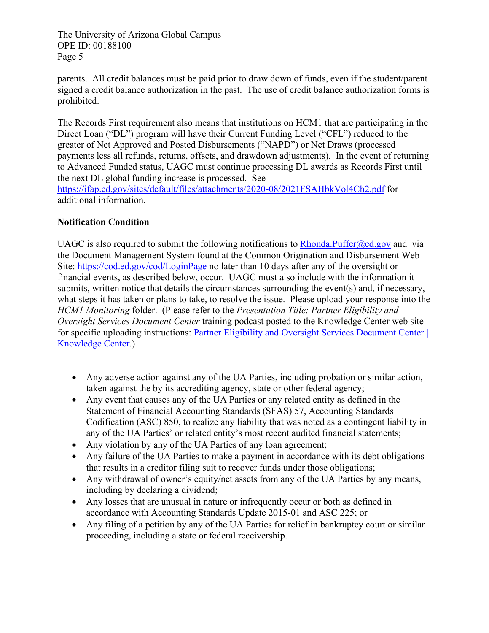parents. All credit balances must be paid prior to draw down of funds, even if the student/parent signed a credit balance authorization in the past. The use of credit balance authorization forms is prohibited.

The Records First requirement also means that institutions on HCM1 that are participating in the Direct Loan ("DL") program will have their Current Funding Level ("CFL") reduced to the greater of Net Approved and Posted Disbursements ("NAPD") or Net Draws (processed payments less all refunds, returns, offsets, and drawdown adjustments). In the event of returning to Advanced Funded status, UAGC must continue processing DL awards as Records First until the next DL global funding increase is processed. See

<https://ifap.ed.gov/sites/default/files/attachments/2020-08/2021FSAHbkVol4Ch2.pdf> for additional information.

# **Notification Condition**

UAGC is also required to submit the following notifications to Rhonda. Puffer  $@ed.gov$  and via the Document Management System found at the Common Origination and Disbursement Web Site:<https://cod.ed.gov/cod/LoginPage> no later than 10 days after any of the oversight or financial events, as described below, occur. UAGC must also include with the information it submits, written notice that details the circumstances surrounding the event(s) and, if necessary, what steps it has taken or plans to take, to resolve the issue. Please upload your response into the *HCM1 Monitoring* folder. (Please refer to the *Presentation Title: Partner Eligibility and Oversight Services Document Center* training podcast posted to the Knowledge Center web site for specific uploading instructions: [Partner Eligibility and Oversight Services Document Center |](https://fsapartners.ed.gov/knowledge-center/library/podcasts/2020-08-14/partner-eligibility-and-oversight-services-document-center)  [Knowledge Center.](https://fsapartners.ed.gov/knowledge-center/library/podcasts/2020-08-14/partner-eligibility-and-oversight-services-document-center))

- Any adverse action against any of the UA Parties, including probation or similar action, taken against the by its accrediting agency, state or other federal agency;
- Any event that causes any of the UA Parties or any related entity as defined in the Statement of Financial Accounting Standards (SFAS) 57, Accounting Standards Codification (ASC) 850, to realize any liability that was noted as a contingent liability in any of the UA Parties' or related entity's most recent audited financial statements;
- Any violation by any of the UA Parties of any loan agreement;
- Any failure of the UA Parties to make a payment in accordance with its debt obligations that results in a creditor filing suit to recover funds under those obligations;
- Any withdrawal of owner's equity/net assets from any of the UA Parties by any means. including by declaring a dividend;
- Any losses that are unusual in nature or infrequently occur or both as defined in accordance with Accounting Standards Update 2015-01 and ASC 225; or
- Any filing of a petition by any of the UA Parties for relief in bankruptcy court or similar proceeding, including a state or federal receivership.